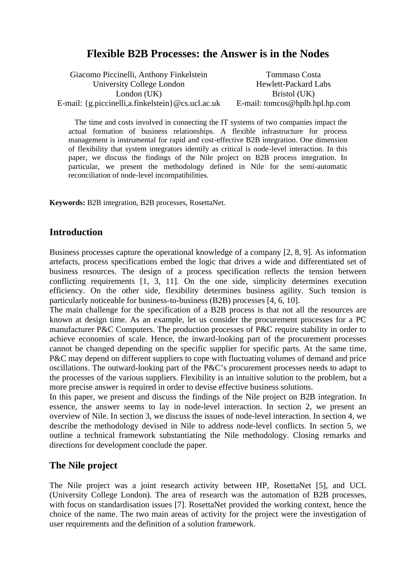# **Flexible B2B Processes: the Answer is in the Nodes**

Giacomo Piccinelli, Anthony Finkelstein University College London London (UK) E-mail: {g.piccinelli,a.finkelstein}@cs.ucl.ac.uk

Tommaso Costa Hewlett-Packard Labs Bristol (UK) E-mail: tomcos@hplb.hpl.hp.com

The time and costs involved in connecting the IT systems of two companies impact the actual formation of business relationships. A flexible infrastructure for process management is instrumental for rapid and cost-effective B2B integration. One dimension of flexibility that system integrators identify as critical is node-level interaction. In this paper, we discuss the findings of the Nile project on B2B process integration. In particular, we present the methodology defined in Nile for the semi-automatic reconciliation of node-level incompatibilities.

**Keywords:** B2B integration, B2B processes, RosettaNet.

#### **Introduction**

Business processes capture the operational knowledge of a company [2, 8, 9]. As information artefacts, process specifications embed the logic that drives a wide and differentiated set of business resources. The design of a process specification reflects the tension between conflicting requirements [1, 3, 11]. On the one side, simplicity determines execution efficiency. On the other side, flexibility determines business agility. Such tension is particularly noticeable for business-to-business (B2B) processes [4, 6, 10].

The main challenge for the specification of a B2B process is that not all the resources are known at design time. As an example, let us consider the procurement processes for a PC manufacturer P&C Computers. The production processes of P&C require stability in order to achieve economies of scale. Hence, the inward-looking part of the procurement processes cannot be changed depending on the specific supplier for specific parts. At the same time, P&C may depend on different suppliers to cope with fluctuating volumes of demand and price oscillations. The outward-looking part of the P&C's procurement processes needs to adapt to the processes of the various suppliers. Flexibility is an intuitive solution to the problem, but a more precise answer is required in order to devise effective business solutions.

In this paper, we present and discuss the findings of the Nile project on B2B integration. In essence, the answer seems to lay in node-level interaction. In section 2, we present an overview of Nile. In section 3, we discuss the issues of node-level interaction. In section 4, we describe the methodology devised in Nile to address node-level conflicts. In section 5, we outline a technical framework substantiating the Nile methodology. Closing remarks and directions for development conclude the paper.

## **The Nile project**

The Nile project was a joint research activity between HP, RosettaNet [5], and UCL (University College London). The area of research was the automation of B2B processes, with focus on standardisation issues [7]. RosettaNet provided the working context, hence the choice of the name. The two main areas of activity for the project were the investigation of user requirements and the definition of a solution framework.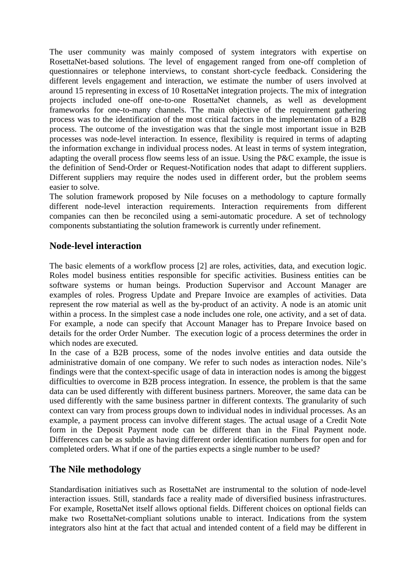The user community was mainly composed of system integrators with expertise on RosettaNet-based solutions. The level of engagement ranged from one-off completion of questionnaires or telephone interviews, to constant short-cycle feedback. Considering the different levels engagement and interaction, we estimate the number of users involved at around 15 representing in excess of 10 RosettaNet integration projects. The mix of integration projects included one-off one-to-one RosettaNet channels, as well as development frameworks for one-to-many channels. The main objective of the requirement gathering process was to the identification of the most critical factors in the implementation of a B2B process. The outcome of the investigation was that the single most important issue in B2B processes was node-level interaction. In essence, flexibility is required in terms of adapting the information exchange in individual process nodes. At least in terms of system integration, adapting the overall process flow seems less of an issue. Using the P&C example, the issue is the definition of Send-Order or Request-Notification nodes that adapt to different suppliers. Different suppliers may require the nodes used in different order, but the problem seems easier to solve.

The solution framework proposed by Nile focuses on a methodology to capture formally different node-level interaction requirements. Interaction requirements from different companies can then be reconciled using a semi-automatic procedure. A set of technology components substantiating the solution framework is currently under refinement.

## **Node-level interaction**

The basic elements of a workflow process [2] are roles, activities, data, and execution logic. Roles model business entities responsible for specific activities. Business entities can be software systems or human beings. Production Supervisor and Account Manager are examples of roles. Progress Update and Prepare Invoice are examples of activities. Data represent the row material as well as the by-product of an activity. A node is an atomic unit within a process. In the simplest case a node includes one role, one activity, and a set of data. For example, a node can specify that Account Manager has to Prepare Invoice based on details for the order Order Number. The execution logic of a process determines the order in which nodes are executed.

In the case of a B2B process, some of the nodes involve entities and data outside the administrative domain of one company. We refer to such nodes as interaction nodes. Nile's findings were that the context-specific usage of data in interaction nodes is among the biggest difficulties to overcome in B2B process integration. In essence, the problem is that the same data can be used differently with different business partners. Moreover, the same data can be used differently with the same business partner in different contexts. The granularity of such context can vary from process groups down to individual nodes in individual processes. As an example, a payment process can involve different stages. The actual usage of a Credit Note form in the Deposit Payment node can be different than in the Final Payment node. Differences can be as subtle as having different order identification numbers for open and for completed orders. What if one of the parties expects a single number to be used?

## **The Nile methodology**

Standardisation initiatives such as RosettaNet are instrumental to the solution of node-level interaction issues. Still, standards face a reality made of diversified business infrastructures. For example, RosettaNet itself allows optional fields. Different choices on optional fields can make two RosettaNet-compliant solutions unable to interact. Indications from the system integrators also hint at the fact that actual and intended content of a field may be different in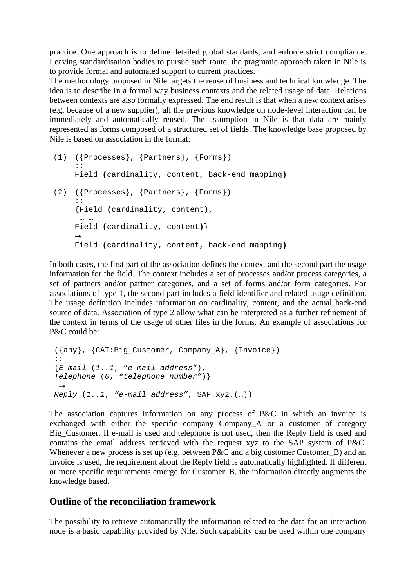practice. One approach is to define detailed global standards, and enforce strict compliance. Leaving standardisation bodies to pursue such route, the pragmatic approach taken in Nile is to provide formal and automated support to current practices.

The methodology proposed in Nile targets the reuse of business and technical knowledge. The idea is to describe in a formal way business contexts and the related usage of data. Relations between contexts are also formally expressed. The end result is that when a new context arises (e.g. because of a new supplier), all the previous knowledge on node-level interaction can be immediately and automatically reused. The assumption in Nile is that data are mainly represented as forms composed of a structured set of fields. The knowledge base proposed by Nile is based on association in the format:

```
(1) ({Processes}, {Partners}, {Forms})
    ::
    Field (cardinality, content, back-end mapping)
(2) ({Processes}, {Partners}, {Forms}) 
    ::
    {Field (cardinality, content),
      … …
    Field (cardinality, content)}
     \rightarrowField (cardinality, content, back-end mapping)
```
In both cases, the first part of the association defines the context and the second part the usage information for the field. The context includes a set of processes and/or process categories, a set of partners and/or partner categories, and a set of forms and/or form categories. For associations of type 1, the second part includes a field identifier and related usage definition. The usage definition includes information on cardinality, content, and the actual back-end source of data. Association of type 2 allow what can be interpreted as a further refinement of the context in terms of the usage of other files in the forms. An example of associations for P&C could be:

```
 ({any}, {CAT:Big_Customer, Company_A}, {Invoice})
 ::
 {E-mail (1..1, "e-mail address"), 
 Telephone (0, "telephone number")}
 \rightarrow Reply (1..1, "e-mail address", SAP.xyz.(…))
```
The association captures information on any process of P&C in which an invoice is exchanged with either the specific company Company\_A or a customer of category Big\_Customer. If e-mail is used and telephone is not used, then the Reply field is used and contains the email address retrieved with the request xyz to the SAP system of P&C. Whenever a new process is set up (e.g. between P&C and a big customer Customer B) and an Invoice is used, the requirement about the Reply field is automatically highlighted. If different or more specific requirements emerge for Customer\_B, the information directly augments the knowledge based.

## **Outline of the reconciliation framework**

The possibility to retrieve automatically the information related to the data for an interaction node is a basic capability provided by Nile. Such capability can be used within one company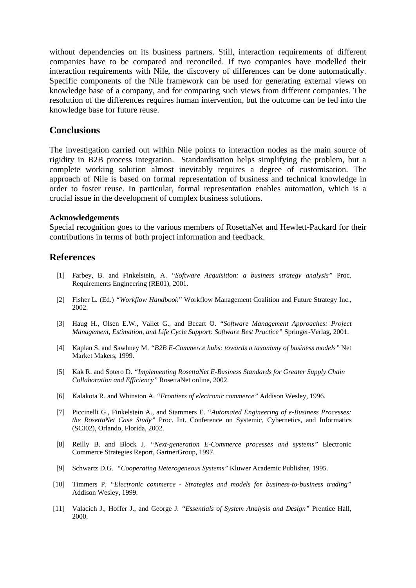without dependencies on its business partners. Still, interaction requirements of different companies have to be compared and reconciled. If two companies have modelled their interaction requirements with Nile, the discovery of differences can be done automatically. Specific components of the Nile framework can be used for generating external views on knowledge base of a company, and for comparing such views from different companies. The resolution of the differences requires human intervention, but the outcome can be fed into the knowledge base for future reuse.

#### **Conclusions**

The investigation carried out within Nile points to interaction nodes as the main source of rigidity in B2B process integration. Standardisation helps simplifying the problem, but a complete working solution almost inevitably requires a degree of customisation. The approach of Nile is based on formal representation of business and technical knowledge in order to foster reuse. In particular, formal representation enables automation, which is a crucial issue in the development of complex business solutions.

#### **Acknowledgements**

Special recognition goes to the various members of RosettaNet and Hewlett-Packard for their contributions in terms of both project information and feedback.

#### **References**

- [1] Farbey, B. and Finkelstein, A. *"Software Acquisition: a business strategy analysis"* Proc. Requirements Engineering (RE01), 2001.
- [2] Fisher L. (Ed.) *"Workflow Handbook"* Workflow Management Coalition and Future Strategy Inc., 2002.
- [3] Haug H., Olsen E.W., Vallet G., and Becart O. *"Software Management Approaches: Project Management, Estimation, and Life Cycle Support: Software Best Practice"* Springer-Verlag, 2001.
- [4] Kaplan S. and Sawhney M. *"B2B E-Commerce hubs: towards a taxonomy of business models"* Net Market Makers, 1999.
- [5] Kak R. and Sotero D. *"Implementing RosettaNet E-Business Standards for Greater Supply Chain Collaboration and Efficiency"* RosettaNet online, 2002.
- [6] Kalakota R. and Whinston A. *"Frontiers of electronic commerce"* Addison Wesley, 1996.
- [7] Piccinelli G., Finkelstein A., and Stammers E. *"Automated Engineering of e-Business Processes: the RosettaNet Case Study"* Proc. Int. Conference on Systemic, Cybernetics, and Informatics (SCI02), Orlando, Florida, 2002.
- [8] Reilly B. and Block J. *"Next-generation E-Commerce processes and systems"* Electronic Commerce Strategies Report, GartnerGroup, 1997.
- [9] Schwartz D.G. *"Cooperating Heterogeneous Systems"* Kluwer Academic Publisher, 1995.
- [10] Timmers P. *"Electronic commerce Strategies and models for business-to-business trading"* Addison Wesley, 1999.
- [11] Valacich J., Hoffer J., and George J. *"Essentials of System Analysis and Design"* Prentice Hall, 2000.